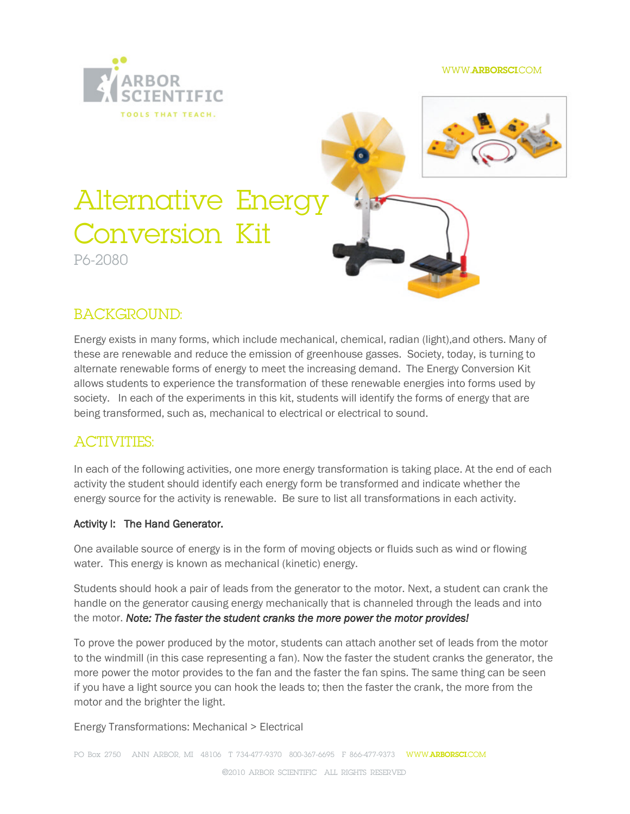# Alternative Energy Conversion Kit P6-2080

## **BACKGROUND**

Energy exists in many forms, which include mechanical, chemical, radian (light), and other therm of  $\overline{a}$ , these  $\omega$  me wable and reduce the emission of greenhouse gasses. Soc alternate renewable forms of energy to meet the increasing demand. allows students to experience the transformation too found these ased ebayable society. In each of the experiments in this kit, students will identif being transformed, such as, mechanical to electrical or electrical to

### ACTIVITIES :

In each of the following  $\infty$ ceinvetrigens, troames from pration is taking place. At activity the student should identify each energy form be transformed energy source for the activity is renewable. Be sure to list all trans

#### Activity I: The Hand Generator.

One available source of energy is in the form of moving objects or fl water. This energy is known as mechanical (kinetic) energy.

Students should hook a pair of leads mincot the exenderated dention cran handle on the generator causing energy mechanically that is channel the mononte: The faster the student cranks the more power the motor

To prove the power producedu by ntil scranot attach another set of leads from the motor motor motor motor motor to the windmill (in this case representing a fan). Now the faster the more power the motor provides to the fan and the faster ethe fan spin if you have a light source you can hook the leads to; then the faster motor and the brighter the light.

 $E$ nergyan $T$ sforma $M$ easanical > Electrical

PO Box 274510 N ARBOMR 48106 -417-973130 -38066695 816-647-79373WWW. [ARBORSC](WWW.ARBORSCI.COM)OM ©2010ARBOR SCIENTIFIC ALL RIGHTS RESE RVED